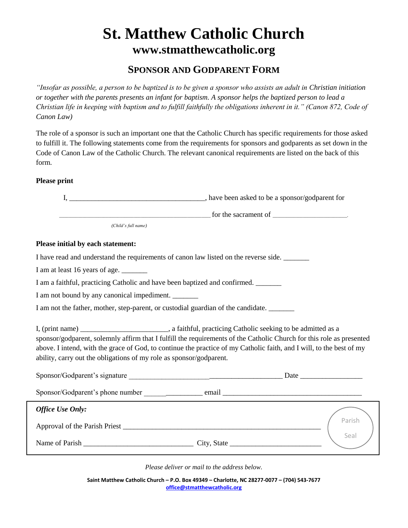## **St. Matthew Catholic Church www.stmatthewcatholic.org**

## **SPONSOR AND GODPARENT FORM**

*"Insofar as possible, a person to be baptized is to be given a sponsor who assists an adult in Christian initiation or together with the parents presents an infant for baptism. A sponsor helps the baptized person to lead a Christian life in keeping with baptism and to fulfill faithfully the obligations inherent in it." (Canon 872, Code of Canon Law)*

The role of a sponsor is such an important one that the Catholic Church has specific requirements for those asked to fulfill it. The following statements come from the requirements for sponsors and godparents as set down in the Code of Canon Law of the Catholic Church. The relevant canonical requirements are listed on the back of this form.

## **Please print**

|                                                                                   | $\frac{1}{2}$ for the sacrament of $\frac{1}{2}$                                                                                                                                                                                                                                                                                                             |
|-----------------------------------------------------------------------------------|--------------------------------------------------------------------------------------------------------------------------------------------------------------------------------------------------------------------------------------------------------------------------------------------------------------------------------------------------------------|
| (Child's full name)                                                               |                                                                                                                                                                                                                                                                                                                                                              |
| Please initial by each statement:                                                 |                                                                                                                                                                                                                                                                                                                                                              |
|                                                                                   | I have read and understand the requirements of canon law listed on the reverse side.                                                                                                                                                                                                                                                                         |
| I am at least 16 years of age. _______                                            |                                                                                                                                                                                                                                                                                                                                                              |
| I am a faithful, practicing Catholic and have been baptized and confirmed.        |                                                                                                                                                                                                                                                                                                                                                              |
| I am not bound by any canonical impediment.                                       |                                                                                                                                                                                                                                                                                                                                                              |
| I am not the father, mother, step-parent, or custodial guardian of the candidate. |                                                                                                                                                                                                                                                                                                                                                              |
| ability, carry out the obligations of my role as sponsor/godparent.               | I, (print name) _______________________________, a faithful, practicing Catholic seeking to be admitted as a<br>sponsor/godparent, solemnly affirm that I fulfill the requirements of the Catholic Church for this role as presented<br>above. I intend, with the grace of God, to continue the practice of my Catholic faith, and I will, to the best of my |
|                                                                                   |                                                                                                                                                                                                                                                                                                                                                              |
|                                                                                   |                                                                                                                                                                                                                                                                                                                                                              |
| Office Use Only:                                                                  |                                                                                                                                                                                                                                                                                                                                                              |
|                                                                                   | Parish<br>Seal                                                                                                                                                                                                                                                                                                                                               |
|                                                                                   |                                                                                                                                                                                                                                                                                                                                                              |
|                                                                                   |                                                                                                                                                                                                                                                                                                                                                              |

*Please deliver or mail to the address below.*

**Saint Matthew Catholic Church – P.O. Box 49349 – Charlotte, NC 28277-0077 – (704) 543-7677 [office@stmatthewcatholic.org](mailto:office@stmatthewcatholic.org)**